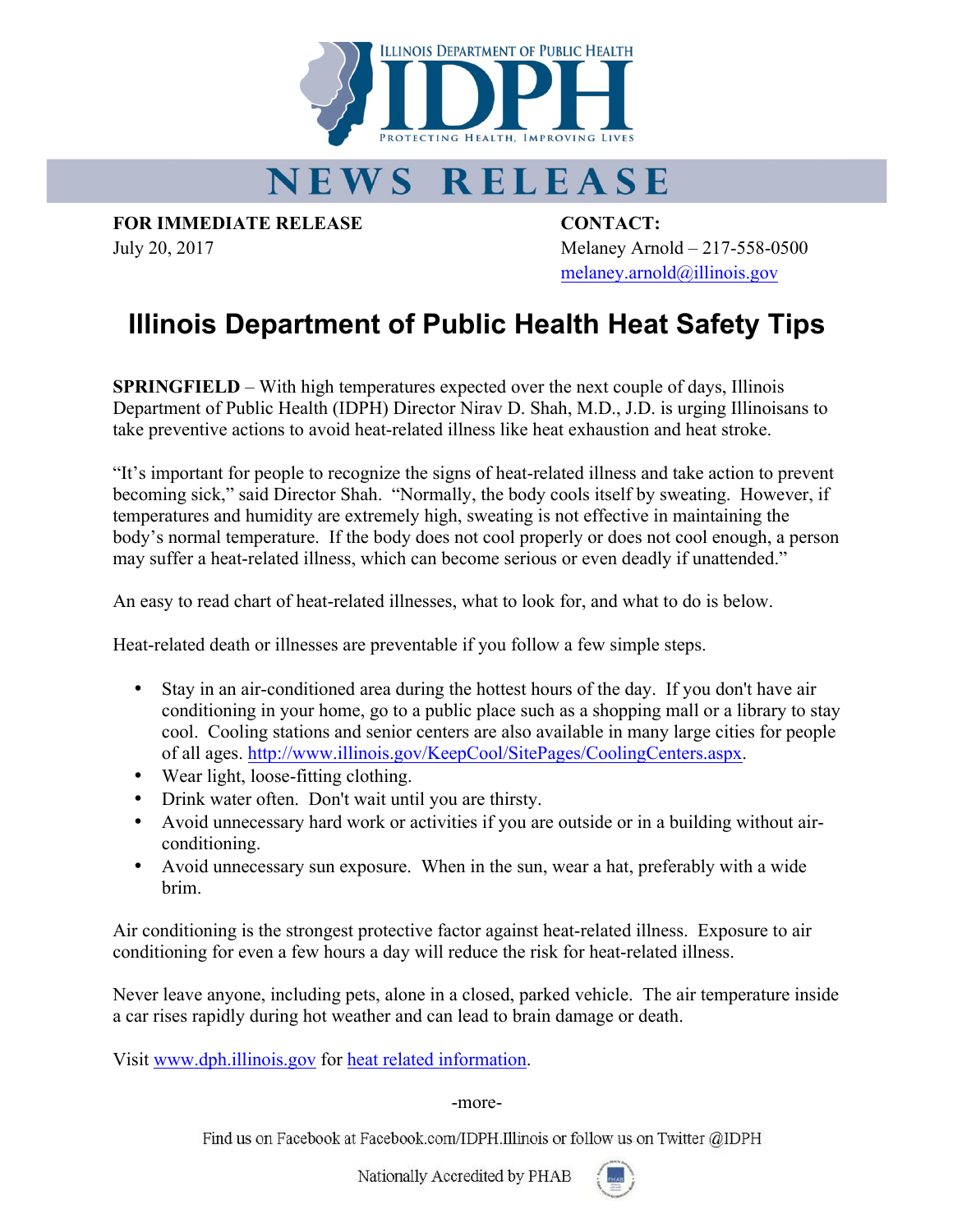

## NEWS RELEASE

**FOR IMMEDIATE RELEASE CONTACT:**

July 20, 2017 Melaney Arnold – 217-558-0500 melaney.arnold@illinois.gov

## **Illinois Department of Public Health Heat Safety Tips**

**SPRINGFIELD** – With high temperatures expected over the next couple of days, Illinois Department of Public Health (IDPH) Director Nirav D. Shah, M.D., J.D. is urging Illinoisans to take preventive actions to avoid heat-related illness like heat exhaustion and heat stroke.

"It's important for people to recognize the signs of heat-related illness and take action to prevent becoming sick," said Director Shah. "Normally, the body cools itself by sweating. However, if temperatures and humidity are extremely high, sweating is not effective in maintaining the body's normal temperature. If the body does not cool properly or does not cool enough, a person may suffer a heat-related illness, which can become serious or even deadly if unattended."

An easy to read chart of heat-related illnesses, what to look for, and what to do is below.

Heat-related death or illnesses are preventable if you follow a few simple steps.

- Stay in an air-conditioned area during the hottest hours of the day. If you don't have air conditioning in your home, go to a public place such as a shopping mall or a library to stay cool. Cooling stations and senior centers are also available in many large cities for people of all ages. http://www.illinois.gov/KeepCool/SitePages/CoolingCenters.aspx.
- Wear light, loose-fitting clothing.
- Drink water often. Don't wait until you are thirsty.
- Avoid unnecessary hard work or activities if you are outside or in a building without airconditioning.
- Avoid unnecessary sun exposure. When in the sun, wear a hat, preferably with a wide brim.

Air conditioning is the strongest protective factor against heat-related illness. Exposure to air conditioning for even a few hours a day will reduce the risk for heat-related illness.

Never leave anyone, including pets, alone in a closed, parked vehicle. The air temperature inside a car rises rapidly during hot weather and can lead to brain damage or death.

Visit www.dph.illinois.gov for heat related information.

## -more-

Find us on Facebook at Facebook.com/IDPH.Illinois or follow us on Twitter @IDPH

Nationally Accredited by PHAB